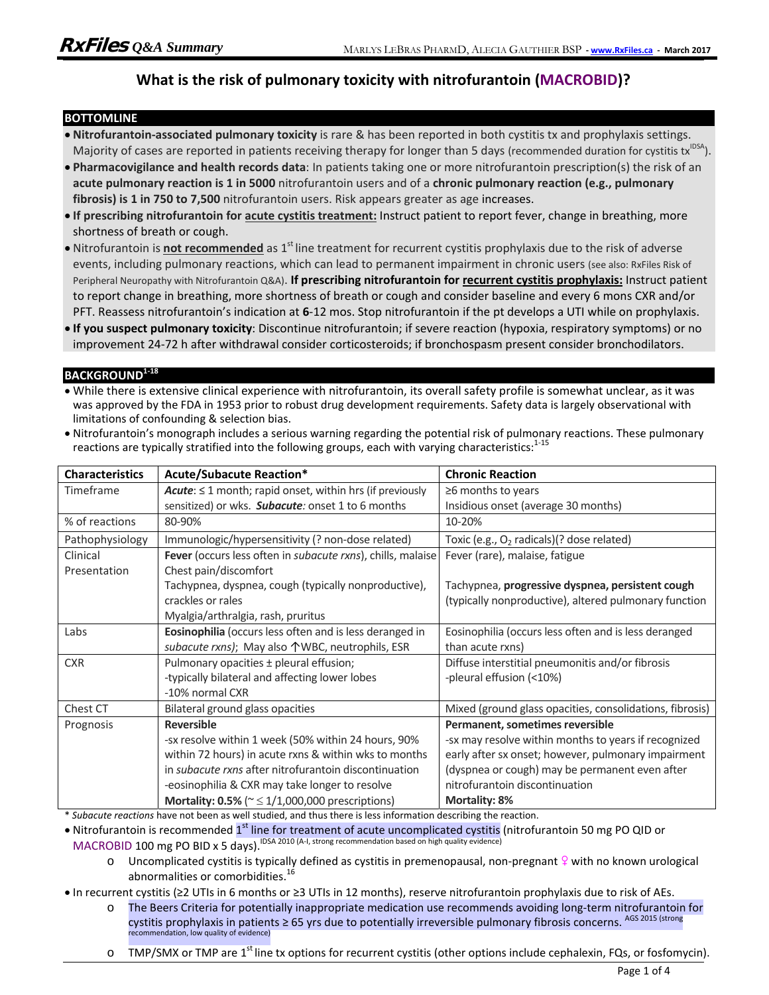## **What is the risk of pulmonary toxicity with nitrofurantoin (MACROBID)?**

#### **BOTTOMLINE**

- **Nitrofurantoin-associated pulmonary toxicity** is rare & has been reported in both cystitis tx and prophylaxis settings. Majority of cases are reported in patients receiving therapy for longer than 5 days (recommended duration for cystitis tx<sup>IDSA</sup>).
- **Pharmacovigilance and health records data**: In patients taking one or more nitrofurantoin prescription(s) the risk of an **acute pulmonary reaction is 1 in 5000** nitrofurantoin users and of a **chronic pulmonary reaction (e.g., pulmonary**  fibrosis) is 1 in 750 to 7,500 nitrofurantoin users. Risk appears greater as age increases.
- **If prescribing nitrofurantoin for acute cystitis treatment:** Instruct patient to report fever, change in breathing, more shortness of breath or cough.
- Nitrofurantoin is **not recommended** as 1<sup>st</sup> line treatment for recurrent cystitis prophylaxis due to the risk of adverse events, including pulmonary reactions, which can lead to permanent impairment in chronic users (see also: RxFiles Risk of Peripheral Neuropathy with Nitrofurantoin Q&A). **If prescribing nitrofurantoin for recurrent cystitis prophylaxis:** Instruct patient to report change in breathing, more shortness of breath or cough and consider baseline and every 6 mons CXR and/or PFT. Reassess nitrofurantoin's indication at **6**-12 mos. Stop nitrofurantoin if the pt develops a UTI while on prophylaxis.
- **If you suspect pulmonary toxicity**: Discontinue nitrofurantoin; if severe reaction (hypoxia, respiratory symptoms) or no improvement 24-72 h after withdrawal consider corticosteroids; if bronchospasm present consider bronchodilators.

#### **BACKGROUND1-18**

 While there is extensive clinical experience with nitrofurantoin, its overall safety profile is somewhat unclear, as it was was approved by the FDA in 1953 prior to robust drug development requirements. Safety data is largely observational with limitations of confounding & selection bias.

| . Nitrofurantoin's monograph includes a serious warning regarding the potential risk of pulmonary reactions. These pulmonary |  |
|------------------------------------------------------------------------------------------------------------------------------|--|
| reactions are typically stratified into the following groups, each with varying characteristics: <sup>1-15</sup>             |  |

| <b>Characteristics</b> | <b>Acute/Subacute Reaction*</b>                                            | <b>Chronic Reaction</b>                                  |
|------------------------|----------------------------------------------------------------------------|----------------------------------------------------------|
| Timeframe              | $Acute: \leq 1$ month; rapid onset, within hrs (if previously              | $\geq$ 6 months to years                                 |
|                        | sensitized) or wks. Subacute: onset 1 to 6 months                          | Insidious onset (average 30 months)                      |
| % of reactions         | 80-90%                                                                     | 10-20%                                                   |
| Pathophysiology        | Immunologic/hypersensitivity (? non-dose related)                          | Toxic (e.g., O <sub>2</sub> radicals)(? dose related)    |
| Clinical               | <b>Fever</b> (occurs less often in <i>subacute rxns</i> ), chills, malaise | Fever (rare), malaise, fatigue                           |
| Presentation           | Chest pain/discomfort                                                      |                                                          |
|                        | Tachypnea, dyspnea, cough (typically nonproductive),                       | Tachypnea, progressive dyspnea, persistent cough         |
|                        | crackles or rales                                                          | (typically nonproductive), altered pulmonary function    |
|                        | Myalgia/arthralgia, rash, pruritus                                         |                                                          |
| Labs                   | Eosinophilia (occurs less often and is less deranged in                    | Eosinophilia (occurs less often and is less deranged     |
|                        | subacute rxns); May also 个WBC, neutrophils, ESR                            | than acute rxns)                                         |
| <b>CXR</b>             | Pulmonary opacities ± pleural effusion;                                    | Diffuse interstitial pneumonitis and/or fibrosis         |
|                        | -typically bilateral and affecting lower lobes                             | -pleural effusion (<10%)                                 |
|                        | -10% normal CXR                                                            |                                                          |
| Chest CT               | Bilateral ground glass opacities                                           | Mixed (ground glass opacities, consolidations, fibrosis) |
| Prognosis              | <b>Reversible</b>                                                          | Permanent, sometimes reversible                          |
|                        | -sx resolve within 1 week (50% within 24 hours, 90%                        | -sx may resolve within months to years if recognized     |
|                        | within 72 hours) in acute rxns & within wks to months                      | early after sx onset; however, pulmonary impairment      |
|                        | in <i>subacute rxns</i> after nitrofurantoin discontinuation               | (dyspnea or cough) may be permanent even after           |
|                        | -eosinophilia & CXR may take longer to resolve                             | nitrofurantoin discontinuation                           |
|                        | Mortality: 0.5% ( $\approx \frac{1}{1,000,000}$ prescriptions)             | <b>Mortality: 8%</b>                                     |

\* *Subacute reactions* have not been as well studied, and thus there is less information describing the reaction.

• Nitrofurantoin is recommended 1<sup>st</sup> line for treatment of acute uncomplicated cystitis (nitrofurantoin 50 mg PO QID or MACROBID 100 mg PO BID x 5 days).<sup>IDSA 2010</sup> (A-I, strong recommendation based on high quality evidence)

 $\circ$  Uncomplicated cystitis is typically defined as cystitis in premenopausal, non-pregnant  $\circ$  with no known urological abnormalities or comorbidities.<sup>16</sup>

In recurrent cystitis (≥2 UTIs in 6 months or ≥3 UTIs in 12 months), reserve nitrofurantoin prophylaxis due to risk of AEs.

- o The Beers Criteria for potentially inappropriate medication use recommends avoiding long-term nitrofurantoin for cystitis prophylaxis in patients ≥ 65 yrs due to potentially irreversible pulmonary fibrosis concerns. AGS 2015 (strong recommendation, low quality of evidence)
- o TMP/SMX or TMP are 1<sup>st</sup> line tx options for recurrent cystitis (other options include cephalexin, FQs, or fosfomycin).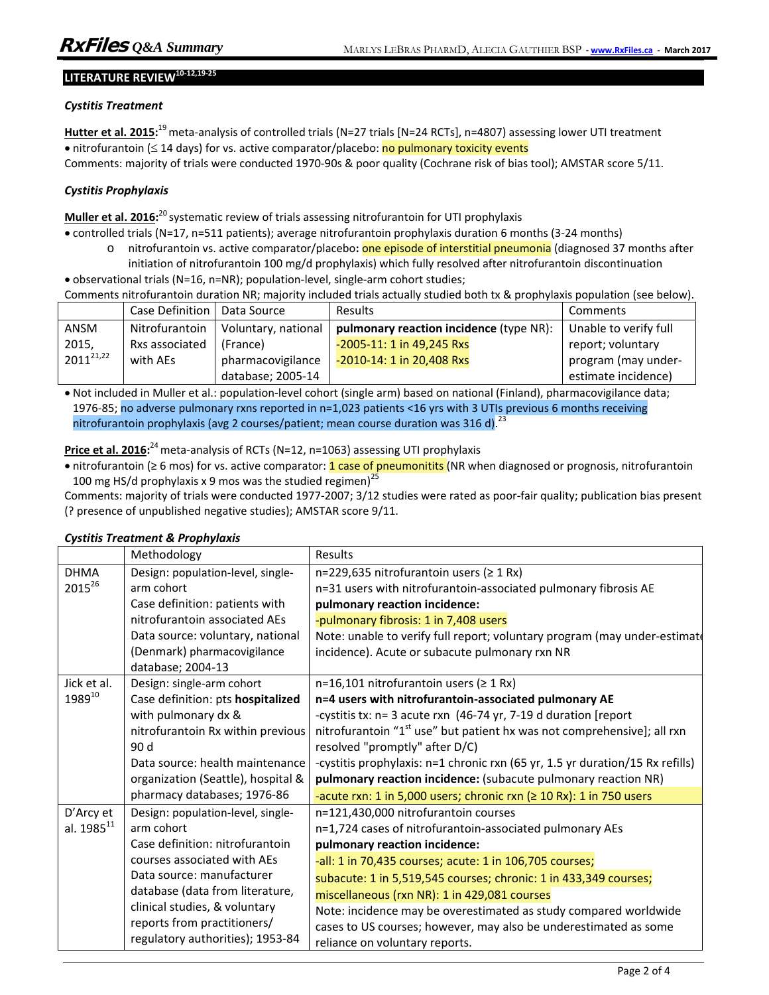# **LITERATURE REVIEW10-12,19-25**

#### *Cystitis Treatment*

**Hutter et al. 2015:** 19 meta-analysis of controlled trials (N=27 trials [N=24 RCTs], n=4807) assessing lower UTI treatment • nitrofurantoin ( $\leq 14$  days) for vs. active comparator/placebo: no pulmonary toxicity events Comments: majority of trials were conducted 1970-90s & poor quality (Cochrane risk of bias tool); AMSTAR score 5/11.

### *Cystitis Prophylaxis*

**Muller et al. 2016:**<sup>20</sup> systematic review of trials assessing nitrofurantoin for UTI prophylaxis

controlled trials (N=17, n=511 patients); average nitrofurantoin prophylaxis duration 6 months (3-24 months)

- o nitrofurantoin vs. active comparator/placebo**:** one episode of interstitial pneumonia (diagnosed 37 months after initiation of nitrofurantoin 100 mg/d prophylaxis) which fully resolved after nitrofurantoin discontinuation
- observational trials (N=16, n=NR); population-level, single-arm cohort studies; Comments nitrofurantoin duration NR; majority included trials actually studied both tx & prophylaxis population (see below).

|                | Case Definition I | Data Source         | <b>Results</b>                          | Comments              |
|----------------|-------------------|---------------------|-----------------------------------------|-----------------------|
| ANSM           | Nitrofurantoin    | Voluntary, national | pulmonary reaction incidence (type NR): | Unable to verify full |
| 2015,          | Rxs associated    | (France)            | $-2005 - 11$ : 1 in 49,245 Rxs          | report; voluntary     |
| $2011^{21,22}$ | with AEs          | pharmacovigilance   | -2010-14: 1 in 20,408 Rxs               | program (may under-   |
|                |                   | database; 2005-14   |                                         | estimate incidence)   |

 Not included in Muller et al.: population-level cohort (single arm) based on national (Finland), pharmacovigilance data; 1976-85; no adverse pulmonary rxns reported in n=1,023 patients <16 yrs with 3 UTIs previous 6 months receiving nitrofurantoin prophylaxis (avg 2 courses/patient; mean course duration was 316 d).  $^{23}$ 

**Price et al. 2016:** 24 meta-analysis of RCTs (N=12, n=1063) assessing UTI prophylaxis

• nitrofurantoin (≥ 6 mos) for vs. active comparator: 1 case of pneumonitits (NR when diagnosed or prognosis, nitrofurantoin 100 mg HS/d prophylaxis x 9 mos was the studied regimen)<sup>25</sup>

Comments: majority of trials were conducted 1977-2007; 3/12 studies were rated as poor-fair quality; publication bias present (? presence of unpublished negative studies); AMSTAR score 9/11.

|  |  |  | <b>Cystitis Treatment &amp; Prophylaxis</b> |
|--|--|--|---------------------------------------------|
|--|--|--|---------------------------------------------|

|                    | Methodology                        | Results                                                                             |
|--------------------|------------------------------------|-------------------------------------------------------------------------------------|
| <b>DHMA</b>        | Design: population-level, single-  | n=229,635 nitrofurantoin users ( $\geq 1$ Rx)                                       |
| 201526             | arm cohort                         | n=31 users with nitrofurantoin-associated pulmonary fibrosis AE                     |
|                    | Case definition: patients with     | pulmonary reaction incidence:                                                       |
|                    | nitrofurantoin associated AEs      | -pulmonary fibrosis: 1 in 7,408 users                                               |
|                    | Data source: voluntary, national   | Note: unable to verify full report; voluntary program (may under-estimat            |
|                    | (Denmark) pharmacovigilance        | incidence). Acute or subacute pulmonary rxn NR                                      |
|                    | database; 2004-13                  |                                                                                     |
| Jick et al.        | Design: single-arm cohort          | n=16,101 nitrofurantoin users ( $\geq 1$ Rx)                                        |
| 1989 <sup>10</sup> | Case definition: pts hospitalized  | n=4 users with nitrofurantoin-associated pulmonary AE                               |
|                    | with pulmonary dx &                | -cystitis tx: n= 3 acute rxn (46-74 yr, 7-19 d duration [report                     |
|                    | nitrofurantoin Rx within previous  | nitrofurantoin "1 <sup>st</sup> use" but patient hx was not comprehensive]; all rxn |
|                    | 90d                                | resolved "promptly" after D/C)                                                      |
|                    | Data source: health maintenance    | -cystitis prophylaxis: n=1 chronic rxn (65 yr, 1.5 yr duration/15 Rx refills)       |
|                    | organization (Seattle), hospital & | pulmonary reaction incidence: (subacute pulmonary reaction NR)                      |
|                    | pharmacy databases; 1976-86        | -acute rxn: 1 in 5,000 users; chronic rxn ( $\geq 10$ Rx): 1 in 750 users           |
| D'Arcy et          | Design: population-level, single-  | n=121,430,000 nitrofurantoin courses                                                |
| al. $1985^{11}$    | arm cohort                         | n=1,724 cases of nitrofurantoin-associated pulmonary AEs                            |
|                    | Case definition: nitrofurantoin    | pulmonary reaction incidence:                                                       |
|                    | courses associated with AEs        | -all: 1 in 70,435 courses; acute: 1 in 106,705 courses;                             |
|                    | Data source: manufacturer          | subacute: 1 in 5,519,545 courses; chronic: 1 in 433,349 courses;                    |
|                    | database (data from literature,    | miscellaneous (rxn NR): 1 in 429,081 courses                                        |
|                    | clinical studies, & voluntary      | Note: incidence may be overestimated as study compared worldwide                    |
|                    | reports from practitioners/        | cases to US courses; however, may also be underestimated as some                    |
|                    | regulatory authorities); 1953-84   | reliance on voluntary reports.                                                      |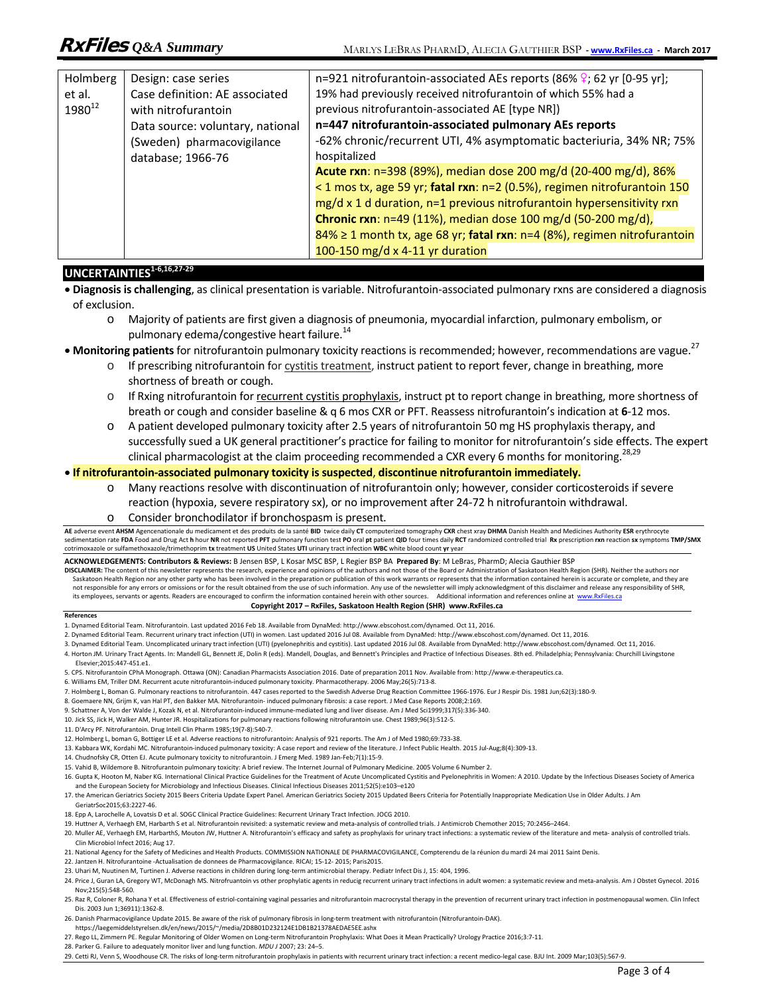| Holmberg           | Design: case series              | n=921 nitrofurantoin-associated AEs reports (86% $\frac{1}{2}$ ; 62 yr [0-95 yr]; |
|--------------------|----------------------------------|-----------------------------------------------------------------------------------|
| et al.             | Case definition: AE associated   | 19% had previously received nitrofurantoin of which 55% had a                     |
| 1980 <sup>12</sup> | with nitrofurantoin              | previous nitrofurantoin-associated AE [type NR])                                  |
|                    | Data source: voluntary, national | n=447 nitrofurantoin-associated pulmonary AEs reports                             |
|                    | (Sweden) pharmacovigilance       | -62% chronic/recurrent UTI, 4% asymptomatic bacteriuria, 34% NR; 75%              |
|                    | database; 1966-76                | hospitalized                                                                      |
|                    |                                  | Acute rxn: n=398 (89%), median dose 200 mg/d (20-400 mg/d), 86%                   |
|                    |                                  | < 1 mos tx, age 59 yr; fatal rxn: n=2 (0.5%), regimen nitrofurantoin 150          |
|                    |                                  | mg/d x 1 d duration, n=1 previous nitrofurantoin hypersensitivity rxn             |
|                    |                                  | <b>Chronic rxn</b> : $n=49$ (11%), median dose 100 mg/d (50-200 mg/d),            |
|                    |                                  | 84% ≥ 1 month tx, age 68 yr; fatal rxn: n=4 (8%), regimen nitrofurantoin          |
|                    |                                  | 100-150 mg/d x 4-11 yr duration                                                   |

## **UNCERTAINTIES**<sup>1-6,16,27-29</sup>

- **Diagnosis is challenging**, as clinical presentation is variable. Nitrofurantoin-associated pulmonary rxns are considered a diagnosis of exclusion.
	- o Majority of patients are first given a diagnosis of pneumonia, myocardial infarction, pulmonary embolism, or pulmonary edema/congestive heart failure.<sup>14</sup>
- Monitoring patients for nitrofurantoin pulmonary toxicity reactions is recommended; however, recommendations are vague.<sup>27</sup>
	- o If prescribing nitrofurantoin for cystitis treatment, instruct patient to report fever, change in breathing, more shortness of breath or cough.
	- o If Rxing nitrofurantoin for recurrent cystitis prophylaxis, instruct pt to report change in breathing, more shortness of breath or cough and consider baseline & q 6 mos CXR or PFT. Reassess nitrofurantoin's indication at **6**-12 mos.
	- o A patient developed pulmonary toxicity after 2.5 years of nitrofurantoin 50 mg HS prophylaxis therapy, and successfully sued a UK general practitioner's practice for failing to monitor for nitrofurantoin's side effects. The expert clinical pharmacologist at the claim proceeding recommended a CXR every 6 months for monitoring.<sup>28,29</sup>

#### **If nitrofurantoin-associated pulmonary toxicity is suspected**, **discontinue nitrofurantoin immediately.**

- o Many reactions resolve with discontinuation of nitrofurantoin only; however, consider corticosteroids if severe reaction (hypoxia, severe respiratory sx), or no improvement after 24-72 h nitrofurantoin withdrawal.
- o Consider bronchodilator if bronchospasm is present.

AE adverse event AHSM Agencenationale du medicament et des produits de la santé BID twice daily CT computerized tomography CXR chest xray DHMA Danish Health and Medicines Authority ESR erythrocyte sedimentation rate FDA Food and Drug Act h hour NR not reported PFT pulmonary function test PO oral pt patient QID four times daily RCT randomized controlled trial Rx prescription rxn reaction sx symptoms TMP/SMX cotrimoxazole or sulfamethoxazole/trimethoprim **tx** treatment **US** United States **UTI** urinary tract infection **WBC** white blood count **yr** year

#### **ACKNOWLEDGEMENTS: Contributors & Reviews:** B Jensen BSP, L Kosar MSC BSP, L Regier BSP BA **Prepared By**: M LeBras, PharmD; Alecia Gauthier BSP

**DISCLAIMER:** The content of this newsletter represents the research, experience and opinions of the authors and not those of the Board or Administration of Saskatoon Health Region (SHR). Neither the authors nor Saskatoon Health Region nor any other party who has been involved in the preparation or publication of this work warrants or represents that the information contained herein is accurate or complete, and they are are the be its employees, servants or agents. Readers are encouraged to confirm the information contained herein with other sources. Additional information and references online at www.RxFiles.ca **Copyright 2017 – RxFiles, Saskatoon Health Region (SHR) www.RxFiles.ca** 

#### **References**

- 1. Dynamed Editorial Team. Nitrofurantoin. Last updated 2016 Feb 18. Available from DynaMed: http://www.ebscohost.com/dynamed. Oct 11, 2016.
- 2. Dynamed Editorial Team. Recurrent urinary tract infection (UTI) in women. Last updated 2016 Jul 08. Available from DynaMed: http://www.ebscohost.com/dynamed. Oct 11, 2016.
- 3. Dynamed Editorial Team. Uncomplicated urinary tract infection (UTI) (pyelonephritis and cystitis). Last updated 2016 Jul 08. Available from DynaMed: http://www.ebscohost.com/dynamed. Oct 11, 2016.
- 4. Horton JM. Urinary Tract Agents. In: Mandell GL, Bennett JE, Dolin R (eds). Mandell, Douglas, and Bennett's Principles and Practice of Infectious Diseases. 8th ed. Philadelphia; Pennsylvania: Churchill Livingstone Elsevier;2015:447-451.e1.
- 5. CPS. Nitrofurantoin CPhA Monograph. Ottawa (ON): Canadian Pharmacists Association 2016. Date of preparation 2011 Nov. Available from: http://www.e-therapeutics.ca.
- 6. Williams EM, Triller DM. Recurrent acute nitrofurantoin-induced pulmonary toxicity. Pharmacotherapy. 2006 May;26(5):713-8.
- 7. Holmberg L, Boman G. Pulmonary reactions to nitrofurantoin. 447 cases reported to the Swedish Adverse Drug Reaction Committee 1966-1976. Eur J Respir Dis. 1981 Jun;62(3):180-9.
- 8. Goemaere NN, Grijm K, van Hal PT, den Bakker MA. Nitrofurantoin- induced pulmonary fibrosis: a case report. J Med Case Reports 2008;2:169.
- 9. Schattner A, Von der Walde J, Kozak N, et al. Nitrofurantoin-induced immune-mediated lung and liver disease. Am J Med Sci1999;317(5):336-340.
- 10. Jick SS, Jick H, Walker AM, Hunter JR. Hospitalizations for pulmonary reactions following nitrofurantoin use. Chest 1989;96(3):512-5.
- 11. D'Arcy PF. Nitrofurantoin. Drug Intell Clin Pharm 1985;19(7-8):540-7.
- 12. Holmberg L, boman G, Bottiger LE et al. Adverse reactions to nitrofurantoin: Analysis of 921 reports. The Am J of Med 1980;69:733-38.
- 13. Kabbara WK, Kordahi MC. Nitrofurantoin-induced pulmonary toxicity: A case report and review of the literature. J Infect Public Health. 2015 Jul-Aug;8(4):309-13.
- 14. Chudnofsky CR, Otten EJ. Acute pulmonary toxicity to nitrofurantoin. J Emerg Med. 1989 Jan-Feb;7(1):15-9.
- 15. Vahid B, Wildemore B. Nitrofurantoin pulmonary toxicity: A brief review. The Internet Journal of Pulmonary Medicine. 2005 Volume 6 Number 2.
- 16. Gupta K, Hooton M, Naber KG. International Clinical Practice Guidelines for the Treatment of Acute Uncomplicated Cystitis and Pyelonephritis in Women: A 2010. Update by the Infectious Diseases Society of America and the European Society for Microbiology and Infectious Diseases. Clinical Infectious Diseases 2011;52(5):e103–e120
- 17. the American Geriatrics Society 2015 Beers Criteria Update Expert Panel. American Geriatrics Society 2015 Updated Beers Criteria for Potentially Inappropriate Medication Use in Older Adults. J Am GeriatrSoc2015;63:2227-46.
- 18. Epp A, Larochelle A, Lovatsis D et al. SOGC Clinical Practice Guidelines: Recurrent Urinary Tract Infection. JOCG 2010.
- 19. Huttner A, Verhaegh EM, Harbarth S et al. Nitrofurantoin revisited: a systematic review and meta-analysis of controlled trials. J Antimicrob Chemother 2015; 70:2456–2464.
- 20. Muller AE, Verhaegh EM, HarbarthS, Mouton JW, Huttner A. Nitrofurantoin's efficacy and safety as prophylaxis for urinary tract infections: a systematic review of the literature and meta- analysis of controlled trials. Clin Microbiol Infect 2016; Aug 17.
- 21. National Agency for the Safety of Medicines and Health Products. COMMISSION NATIONALE DE PHARMACOVIGILANCE, Compterendu de la réunion du mardi 24 mai 2011 Saint Denis.
- 22. Jantzen H. Nitrofurantoine -Actualisation de donnees de Pharmacovigilance. RICAI; 15-12- 2015; Paris2015.
- 23. Uhari M, Nuutinen M, Turtinen J. Adverse reactions in children during long-term antimicrobial therapy. Pediatr Infect Dis J, 15: 404, 1996.
- 24. Price J, Guran LA, Gregory WT, McDonagh MS. Nitrofruantoin vs other prophylatic agents in reducig recurrent urinary tract infections in adult women: a systematic review and meta-analysis. Am J Obstet Gynecol. 2016 Nov;215(5):548-560.
- 25. Raz R, Coloner R, Rohana Y et al. Effectiveness of estriol-containing vaginal pessaries and nitrofurantoin macrocrystal therapy in the prevention of recurrent urinary tract infection in postmenopausal women. Clin Infect Dis. 2003 Jun 1;36911):1362-8.
- 26. Danish Pharmacovigilance Update 2015. Be aware of the risk of pulmonary fibrosis in long-term treatment with nitrofurantoin (Nitrofurantoin-DAK). https://laegemiddelstyrelsen.dk/en/news/2015/~/media/2D8B01D232124E1DB1B21378AEDAE5EE.ashx
- 27. Rego LL, Zimmern PE. Regular Monitoring of Older Women on Long-term Nitrofurantoin Prophylaxis: What Does it Mean Practically? Urology Practice 2016;3:7-11.
- 28. Parker G. Failure to adequately monitor liver and lung function. *MDU J* 2007; 23: 24–5.
- 29. Cetti RJ, Venn S, Woodhouse CR. The risks of long-term nitrofurantoin prophylaxis in patients with recurrent urinary tract infection: a recent medico-legal case. BJU Int. 2009 Mar;103(5):567-9.